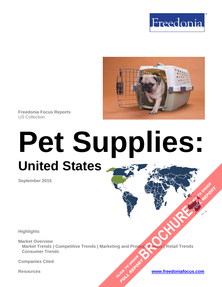



**Freedonia Focus Reports** US Collection

# **Pet Supplies: United States**

**September 2015**

**Highlights**

**Market Overview Market Trends | Competitive Trends | Marketing and Product Trends | Retail Trends Consumer Trends [BROCHURE](http://www.freedoniagroup.com/FocusDetails.aspx?ReferrerId=FM-FocusBro&ReportID=FF90045) READING READY OF PROPERTY OF PROPERTY.** 

CLICK TO ORDER **FULL REPORT** 

**Companies Cited**

**FULL REPORT**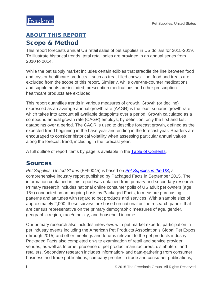## <span id="page-1-0"></span>ABOUT THIS REPORT Scope & Method

This report forecasts annual US retail sales of pet supplies in US dollars for 2015-2019. To illustrate historical trends, total retail sales are provided in an annual series from 2010 to 2014.

While the pet supply market includes certain edibles that straddle the line between food and toys or healthcare products – such as treat-filled chews – pet food and treats are excluded from the scope of this report. Similarly, while over-the-counter medications and supplements are included, prescription medications and other prescription healthcare products are excluded.

This report quantifies trends in various measures of growth. Growth (or decline) expressed as an average annual growth rate (AAGR) is the least squares growth rate, which takes into account all available datapoints over a period. Growth calculated as a compound annual growth rate (CAGR) employs, by definition, only the first and last datapoints over a period. The CAGR is used to describe forecast growth, defined as the expected trend beginning in the base year and ending in the forecast year. Readers are encouraged to consider historical volatility when assessing particular annual values along the forecast trend, including in the forecast year.

A full outline of report items by page is available in the [Table of Contents.](#page-3-0)

#### Sources

*Pet Supplies: United States* (FF90045) is based on *[Pet Supplies in the US](http://www.packagedfacts.com/Pet-Supplies-Edition-9304203/)*, a comprehensive industry report published by Packaged Facts in September 2015. The information contained in this report was obtained from primary and secondary research. Primary research includes national online consumer polls of US adult pet owners (age 18+) conducted on an ongoing basis by Packaged Facts, to measure purchasing patterns and attitudes with regard to pet products and services. With a sample size of approximately 2,000, these surveys are based on national online research panels that are census representative on the primary demographic measures of age, gender, geographic region, race/ethnicity, and household income.

Our primary research also includes interviews with pet market experts; participation in pet industry events including the American Pet Products Association's Global Pet Expos (through 2015) and other meetings and forums relevant to the pet products industry. Packaged Facts also completed on-site examination of retail and service provider venues, as well as Internet presence of pet product manufacturers, distributers, and retailers. Secondary research includes information- and data-gathering from consumer business and trade publications, company profiles in trade and consumer publications,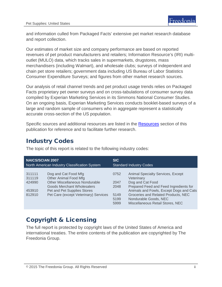and information culled from Packaged Facts' extensive pet market research database and report collection.

Our estimates of market size and company performance are based on reported revenues of pet product manufacturers and retailers; Information Resource's (IRI) multioutlet (MULO) data, which tracks sales in supermarkets, drugstores, mass merchandisers (including Walmart), and wholesale clubs; surveys of independent and chain pet store retailers; government data including US Bureau of Labor Statistics Consumer Expenditure Surveys; and figures from other market research sources.

Our analysis of retail channel trends and pet product usage trends relies on Packaged Facts proprietary pet owner surveys and on cross-tabulations of consumer survey data compiled by Experian Marketing Services in its Simmons National Consumer Studies. On an ongoing basis, Experian Marketing Services conducts booklet-based surveys of a large and random sample of consumers who in aggregate represent a statistically accurate cross-section of the US population.

Specific sources and additional resources are listed in the [Resources](#page-4-0) section of this publication for reference and to facilitate further research.

#### Industry Codes

| <b>NAICS/SCIAN 2007</b>                        |                                                                                                                                                                                                     | <b>SIC</b>                                   |                                                                                                                                                                                                                                                                     |
|------------------------------------------------|-----------------------------------------------------------------------------------------------------------------------------------------------------------------------------------------------------|----------------------------------------------|---------------------------------------------------------------------------------------------------------------------------------------------------------------------------------------------------------------------------------------------------------------------|
| North American Industry Classification System  |                                                                                                                                                                                                     | <b>Standard Industry Codes</b>               |                                                                                                                                                                                                                                                                     |
| 311111<br>311119<br>424990<br>453910<br>812910 | Dog and Cat Food Mfg<br><b>Other Animal Food Mfg</b><br><b>Other Miscellaneous Nondurable</b><br>Goods Merchant Wholesalers<br>Pet and Pet Supplies Stores<br>Pet Care (except Veterinary) Services | 0752<br>2047<br>2048<br>5149<br>5199<br>5999 | <b>Animal Specialty Services, Except</b><br>Veterinary<br>Dog and Cat Food<br>Prepared Feed and Feed Ingredients for<br>Animals and Fowls, Except Dogs and Cats<br>Groceries and Related Products, NEC<br>Nondurable Goods, NEC<br>Miscellaneous Retail Stores, NEC |

The topic of this report is related to the following industry codes:

## Copyright & Licensing

The full report is protected by copyright laws of the United States of America and international treaties. The entire contents of the publication are copyrighted by The Freedonia Group.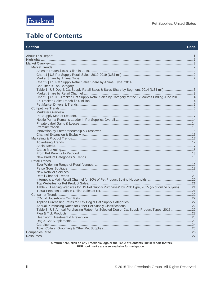#### <span id="page-3-0"></span>**Table of Contents**

| Table 1   US Dog & Cat Supply Retail Sales & Sales Share by Segment, 2014 (US\$ mil)3<br>Chart 3   US IRI-Tracked Pet Supply Retail Sales by Category for the 12 Months Ending June 2015 4<br>Table 2   Leading Websites for US Pet Supply Purchases* by Prdt Type, 2015 (% of online buyers)21<br>Table 3   US Annual Purchasing Rates* for Selected Dog or Cat Supply Product Types, 201522 | <b>Section</b> | Page |  |
|-----------------------------------------------------------------------------------------------------------------------------------------------------------------------------------------------------------------------------------------------------------------------------------------------------------------------------------------------------------------------------------------------|----------------|------|--|
|                                                                                                                                                                                                                                                                                                                                                                                               |                |      |  |
|                                                                                                                                                                                                                                                                                                                                                                                               |                |      |  |
|                                                                                                                                                                                                                                                                                                                                                                                               |                |      |  |
|                                                                                                                                                                                                                                                                                                                                                                                               |                |      |  |
|                                                                                                                                                                                                                                                                                                                                                                                               |                |      |  |
|                                                                                                                                                                                                                                                                                                                                                                                               |                |      |  |
|                                                                                                                                                                                                                                                                                                                                                                                               |                |      |  |
|                                                                                                                                                                                                                                                                                                                                                                                               |                |      |  |
|                                                                                                                                                                                                                                                                                                                                                                                               |                |      |  |
|                                                                                                                                                                                                                                                                                                                                                                                               |                |      |  |
|                                                                                                                                                                                                                                                                                                                                                                                               |                |      |  |
|                                                                                                                                                                                                                                                                                                                                                                                               |                |      |  |
|                                                                                                                                                                                                                                                                                                                                                                                               |                |      |  |
|                                                                                                                                                                                                                                                                                                                                                                                               |                |      |  |
|                                                                                                                                                                                                                                                                                                                                                                                               |                |      |  |
|                                                                                                                                                                                                                                                                                                                                                                                               |                |      |  |
|                                                                                                                                                                                                                                                                                                                                                                                               |                |      |  |
|                                                                                                                                                                                                                                                                                                                                                                                               |                |      |  |
|                                                                                                                                                                                                                                                                                                                                                                                               |                |      |  |
|                                                                                                                                                                                                                                                                                                                                                                                               |                |      |  |
|                                                                                                                                                                                                                                                                                                                                                                                               |                |      |  |
|                                                                                                                                                                                                                                                                                                                                                                                               |                |      |  |
|                                                                                                                                                                                                                                                                                                                                                                                               |                |      |  |
|                                                                                                                                                                                                                                                                                                                                                                                               |                |      |  |
|                                                                                                                                                                                                                                                                                                                                                                                               |                |      |  |
|                                                                                                                                                                                                                                                                                                                                                                                               |                |      |  |
|                                                                                                                                                                                                                                                                                                                                                                                               |                |      |  |
|                                                                                                                                                                                                                                                                                                                                                                                               |                |      |  |
|                                                                                                                                                                                                                                                                                                                                                                                               |                |      |  |
|                                                                                                                                                                                                                                                                                                                                                                                               |                |      |  |
|                                                                                                                                                                                                                                                                                                                                                                                               |                |      |  |
|                                                                                                                                                                                                                                                                                                                                                                                               |                |      |  |
|                                                                                                                                                                                                                                                                                                                                                                                               |                |      |  |
|                                                                                                                                                                                                                                                                                                                                                                                               |                |      |  |
|                                                                                                                                                                                                                                                                                                                                                                                               |                |      |  |
|                                                                                                                                                                                                                                                                                                                                                                                               |                |      |  |
|                                                                                                                                                                                                                                                                                                                                                                                               |                |      |  |
|                                                                                                                                                                                                                                                                                                                                                                                               |                |      |  |
|                                                                                                                                                                                                                                                                                                                                                                                               |                |      |  |
|                                                                                                                                                                                                                                                                                                                                                                                               |                |      |  |
|                                                                                                                                                                                                                                                                                                                                                                                               |                |      |  |
|                                                                                                                                                                                                                                                                                                                                                                                               |                |      |  |
|                                                                                                                                                                                                                                                                                                                                                                                               |                |      |  |
|                                                                                                                                                                                                                                                                                                                                                                                               |                |      |  |
|                                                                                                                                                                                                                                                                                                                                                                                               |                |      |  |
|                                                                                                                                                                                                                                                                                                                                                                                               |                |      |  |
|                                                                                                                                                                                                                                                                                                                                                                                               |                |      |  |
|                                                                                                                                                                                                                                                                                                                                                                                               |                |      |  |
|                                                                                                                                                                                                                                                                                                                                                                                               |                |      |  |

To return here, click on any Freedonia logo or the Table of Contents link in report footers.<br>PDF bookmarks are also available for navigation.